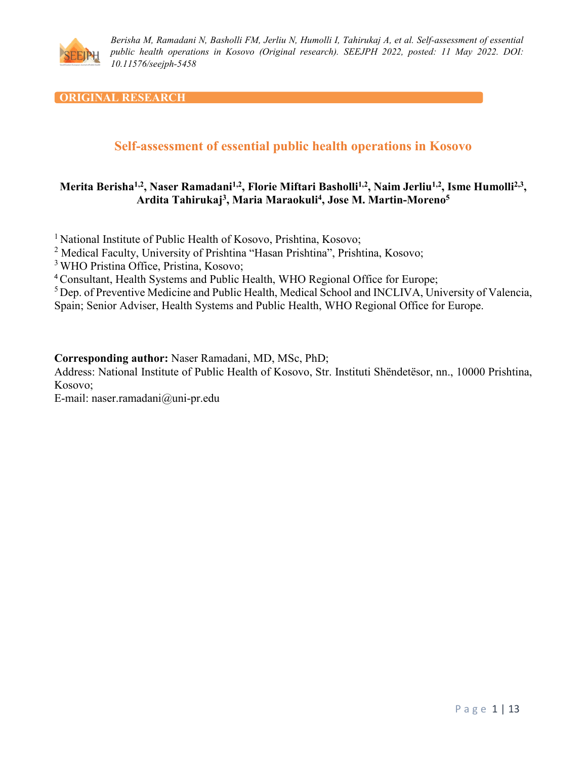

### **ORIGINAL RESEARCH**

# **Self-assessment of essential public health operations in Kosovo**

## **Merita Berisha1,2, Naser Ramadani1,2, Florie Miftari Basholli1,2, Naim Jerliu1,2, Isme Humolli2,3, Ardita Tahirukaj3, Maria Maraokuli4, Jose M. Martin-Moreno5**

<sup>1</sup> National Institute of Public Health of Kosovo, Prishtina, Kosovo;

<sup>2</sup> Medical Faculty, University of Prishtina "Hasan Prishtina", Prishtina, Kosovo;

<sup>3</sup> WHO Pristina Office, Pristina, Kosovo;

<sup>4</sup>Consultant, Health Systems and Public Health, WHO Regional Office for Europe;

<sup>5</sup> Dep. of Preventive Medicine and Public Health, Medical School and INCLIVA, University of Valencia,

Spain; Senior Adviser, Health Systems and Public Health, WHO Regional Office for Europe.

**Corresponding author:** Naser Ramadani, MD, MSc, PhD;

Address: National Institute of Public Health of Kosovo, Str. Instituti Shëndetësor, nn., 10000 Prishtina, Kosovo;

E-mail: naser.ramadani@uni-pr.edu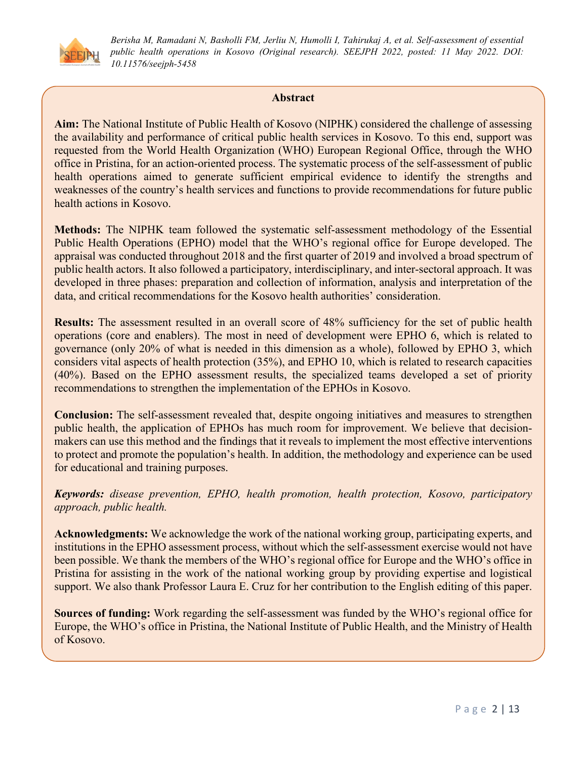

### **Abstract**

**Aim:** The National Institute of Public Health of Kosovo (NIPHK) considered the challenge of assessing the availability and performance of critical public health services in Kosovo. To this end, support was requested from the World Health Organization (WHO) European Regional Office, through the WHO office in Pristina, for an action-oriented process. The systematic process of the self-assessment of public health operations aimed to generate sufficient empirical evidence to identify the strengths and weaknesses of the country's health services and functions to provide recommendations for future public health actions in Kosovo.

**Methods:** The NIPHK team followed the systematic self-assessment methodology of the Essential Public Health Operations (EPHO) model that the WHO's regional office for Europe developed. The appraisal was conducted throughout 2018 and the first quarter of 2019 and involved a broad spectrum of public health actors. It also followed a participatory, interdisciplinary, and inter-sectoral approach. It was developed in three phases: preparation and collection of information, analysis and interpretation of the data, and critical recommendations for the Kosovo health authorities' consideration.

**Results:** The assessment resulted in an overall score of 48% sufficiency for the set of public health operations (core and enablers). The most in need of development were EPHO 6, which is related to governance (only 20% of what is needed in this dimension as a whole), followed by EPHO 3, which considers vital aspects of health protection (35%), and EPHO 10, which is related to research capacities (40%). Based on the EPHO assessment results, the specialized teams developed a set of priority recommendations to strengthen the implementation of the EPHOs in Kosovo.

**Conclusion:** The self-assessment revealed that, despite ongoing initiatives and measures to strengthen public health, the application of EPHOs has much room for improvement. We believe that decisionmakers can use this method and the findings that it reveals to implement the most effective interventions to protect and promote the population's health. In addition, the methodology and experience can be used for educational and training purposes.

*Keywords: disease prevention, EPHO, health promotion, health protection, Kosovo, participatory approach, public health.*

**Acknowledgments:** We acknowledge the work of the national working group, participating experts, and institutions in the EPHO assessment process, without which the self-assessment exercise would not have been possible. We thank the members of the WHO's regional office for Europe and the WHO's office in Pristina for assisting in the work of the national working group by providing expertise and logistical support. We also thank Professor Laura E. Cruz for her contribution to the English editing of this paper.

**Sources of funding:** Work regarding the self-assessment was funded by the WHO's regional office for Europe, the WHO's office in Pristina, the National Institute of Public Health, and the Ministry of Health of Kosovo.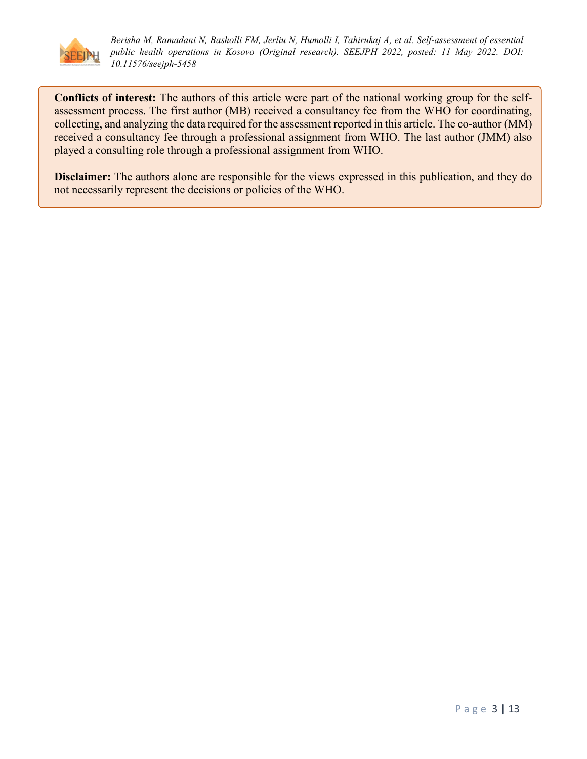

**Conflicts of interest:** The authors of this article were part of the national working group for the selfassessment process. The first author (MB) received a consultancy fee from the WHO for coordinating, collecting, and analyzing the data required for the assessment reported in this article. The co-author (MM) received a consultancy fee through a professional assignment from WHO. The last author (JMM) also played a consulting role through a professional assignment from WHO.

**Disclaimer:** The authors alone are responsible for the views expressed in this publication, and they do not necessarily represent the decisions or policies of the WHO.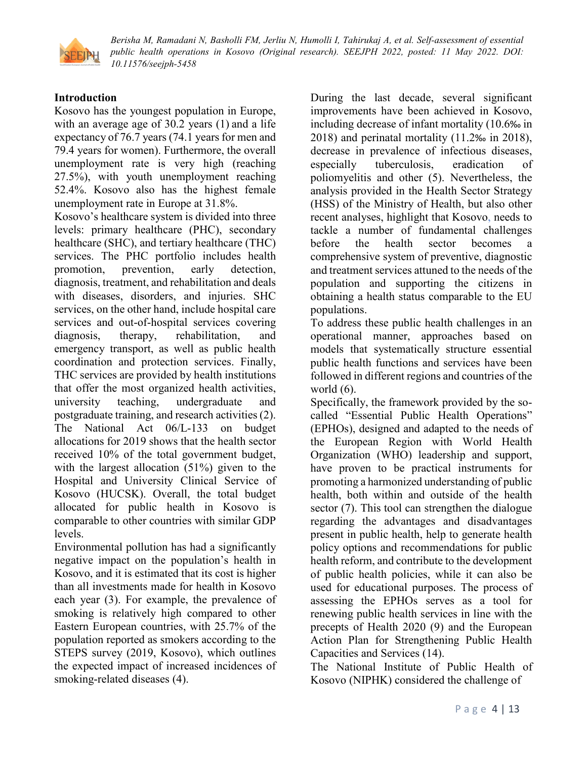

## **Introduction**

Kosovo has the youngest population in Europe, with an average age of 30.2 years (1) and a life expectancy of 76.7 years (74.1 years for men and 79.4 years for women). Furthermore, the overall unemployment rate is very high (reaching 27.5%), with youth unemployment reaching 52.4%. Kosovo also has the highest female unemployment rate in Europe at 31.8%.

Kosovo's healthcare system is divided into three levels: primary healthcare (PHC), secondary healthcare (SHC), and tertiary healthcare (THC) services. The PHC portfolio includes health promotion, prevention, early detection, diagnosis, treatment, and rehabilitation and deals with diseases, disorders, and injuries. SHC services, on the other hand, include hospital care services and out-of-hospital services covering diagnosis, therapy, rehabilitation, and emergency transport, as well as public health coordination and protection services. Finally, THC services are provided by health institutions that offer the most organized health activities, university teaching, undergraduate and postgraduate training, and research activities (2). The National Act 06/L-133 on budget allocations for 2019 shows that the health sector received 10% of the total government budget, with the largest allocation (51%) given to the Hospital and University Clinical Service of Kosovo (HUCSK). Overall, the total budget allocated for public health in Kosovo is comparable to other countries with similar GDP levels.

Environmental pollution has had a significantly negative impact on the population's health in Kosovo, and it is estimated that its cost is higher than all investments made for health in Kosovo each year (3). For example, the prevalence of smoking is relatively high compared to other Eastern European countries, with 25.7% of the population reported as smokers according to the STEPS survey (2019, Kosovo), which outlines the expected impact of increased incidences of smoking-related diseases (4).

During the last decade, several significant improvements have been achieved in Kosovo, including decrease of infant mortality (10.6‰ in 2018) and perinatal mortality (11.2‰ in 2018), decrease in prevalence of infectious diseases, especially tuberculosis, eradication of poliomyelitis and other (5). Nevertheless, the analysis provided in the Health Sector Strategy (HSS) of the Ministry of Health, but also other recent analyses, highlight that Kosovo, needs to tackle a number of fundamental challenges before the health sector becomes a comprehensive system of preventive, diagnostic and treatment services attuned to the needs of the population and supporting the citizens in obtaining a health status comparable to the EU populations.

To address these public health challenges in an operational manner, approaches based on models that systematically structure essential public health functions and services have been followed in different regions and countries of the world (6).

Specifically, the framework provided by the socalled "Essential Public Health Operations" (EPHOs), designed and adapted to the needs of the European Region with World Health Organization (WHO) leadership and support, have proven to be practical instruments for promoting a harmonized understanding of public health, both within and outside of the health sector (7). This tool can strengthen the dialogue regarding the advantages and disadvantages present in public health, help to generate health policy options and recommendations for public health reform, and contribute to the development of public health policies, while it can also be used for educational purposes. The process of assessing the EPHOs serves as a tool for renewing public health services in line with the precepts of Health 2020 (9) and the European Action Plan for Strengthening Public Health Capacities and Services (14).

The National Institute of Public Health of Kosovo (NIPHK) considered the challenge of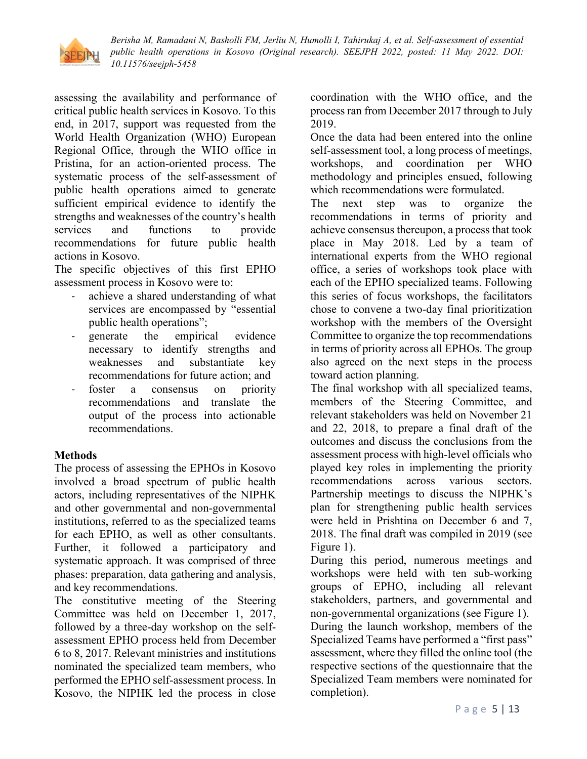

assessing the availability and performance of critical public health services in Kosovo. To this end, in 2017, support was requested from the World Health Organization (WHO) European Regional Office, through the WHO office in Pristina, for an action-oriented process. The systematic process of the self-assessment of public health operations aimed to generate sufficient empirical evidence to identify the strengths and weaknesses of the country's health services and functions to provide recommendations for future public health actions in Kosovo.

The specific objectives of this first EPHO assessment process in Kosovo were to:

- achieve a shared understanding of what services are encompassed by "essential public health operations";
- generate the empirical evidence necessary to identify strengths and weaknesses and substantiate key recommendations for future action; and
- foster a consensus on priority recommendations and translate the output of the process into actionable recommendations.

### **Methods**

The process of assessing the EPHOs in Kosovo involved a broad spectrum of public health actors, including representatives of the NIPHK and other governmental and non-governmental institutions, referred to as the specialized teams for each EPHO, as well as other consultants. Further, it followed a participatory and systematic approach. It was comprised of three phases: preparation, data gathering and analysis, and key recommendations.

The constitutive meeting of the Steering Committee was held on December 1, 2017, followed by a three-day workshop on the selfassessment EPHO process held from December 6 to 8, 2017. Relevant ministries and institutions nominated the specialized team members, who performed the EPHO self-assessment process. In Kosovo, the NIPHK led the process in close

coordination with the WHO office, and the process ran from December 2017 through to July 2019.

Once the data had been entered into the online self-assessment tool, a long process of meetings, workshops, and coordination per WHO methodology and principles ensued, following which recommendations were formulated.

The next step was to organize the recommendations in terms of priority and achieve consensus thereupon, a process that took place in May 2018. Led by a team of international experts from the WHO regional office, a series of workshops took place with each of the EPHO specialized teams. Following this series of focus workshops, the facilitators chose to convene a two-day final prioritization workshop with the members of the Oversight Committee to organize the top recommendations in terms of priority across all EPHOs. The group also agreed on the next steps in the process toward action planning.

The final workshop with all specialized teams, members of the Steering Committee, and relevant stakeholders was held on November 21 and 22, 2018, to prepare a final draft of the outcomes and discuss the conclusions from the assessment process with high-level officials who played key roles in implementing the priority recommendations across various sectors. Partnership meetings to discuss the NIPHK's plan for strengthening public health services were held in Prishtina on December 6 and 7, 2018. The final draft was compiled in 2019 (see Figure 1).

During this period, numerous meetings and workshops were held with ten sub-working groups of EPHO, including all relevant stakeholders, partners, and governmental and non-governmental organizations (see Figure 1). During the launch workshop, members of the Specialized Teams have performed a "first pass" assessment, where they filled the online tool (the respective sections of the questionnaire that the Specialized Team members were nominated for completion).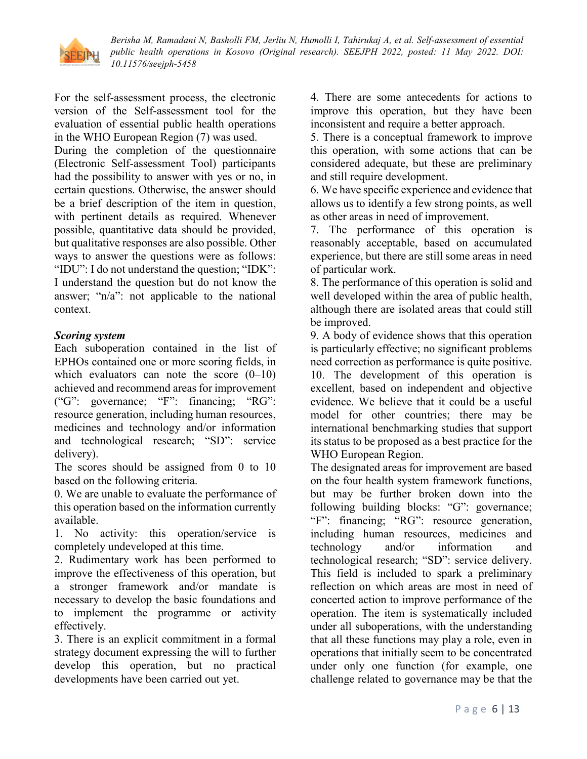

For the self-assessment process, the electronic version of the Self-assessment tool for the evaluation of essential public health operations in the WHO European Region (7) was used.

During the completion of the questionnaire (Electronic Self-assessment Tool) participants had the possibility to answer with yes or no, in certain questions. Otherwise, the answer should be a brief description of the item in question, with pertinent details as required. Whenever possible, quantitative data should be provided, but qualitative responses are also possible. Other ways to answer the questions were as follows: "IDU": I do not understand the question; "IDK": I understand the question but do not know the answer; "n/a": not applicable to the national context.

### *Scoring system*

Each suboperation contained in the list of EPHOs contained one or more scoring fields, in which evaluators can note the score  $(0-10)$ achieved and recommend areas for improvement ("G": governance; "F": financing; "RG": resource generation, including human resources, medicines and technology and/or information and technological research; "SD": service delivery).

The scores should be assigned from 0 to 10 based on the following criteria.

0. We are unable to evaluate the performance of this operation based on the information currently available.

1. No activity: this operation/service is completely undeveloped at this time.

2. Rudimentary work has been performed to improve the effectiveness of this operation, but a stronger framework and/or mandate is necessary to develop the basic foundations and to implement the programme or activity effectively.

3. There is an explicit commitment in a formal strategy document expressing the will to further develop this operation, but no practical developments have been carried out yet.

4. There are some antecedents for actions to improve this operation, but they have been inconsistent and require a better approach.

5. There is a conceptual framework to improve this operation, with some actions that can be considered adequate, but these are preliminary and still require development.

6. We have specific experience and evidence that allows us to identify a few strong points, as well as other areas in need of improvement.

7. The performance of this operation is reasonably acceptable, based on accumulated experience, but there are still some areas in need of particular work.

8. The performance of this operation is solid and well developed within the area of public health, although there are isolated areas that could still be improved.

9. A body of evidence shows that this operation is particularly effective; no significant problems need correction as performance is quite positive. 10. The development of this operation is excellent, based on independent and objective evidence. We believe that it could be a useful model for other countries; there may be international benchmarking studies that support its status to be proposed as a best practice for the WHO European Region.

The designated areas for improvement are based on the four health system framework functions, but may be further broken down into the following building blocks: "G": governance; "F": financing; "RG": resource generation, including human resources, medicines and technology and/or information and technological research; "SD": service delivery. This field is included to spark a preliminary reflection on which areas are most in need of concerted action to improve performance of the operation. The item is systematically included under all suboperations, with the understanding that all these functions may play a role, even in operations that initially seem to be concentrated under only one function (for example, one challenge related to governance may be that the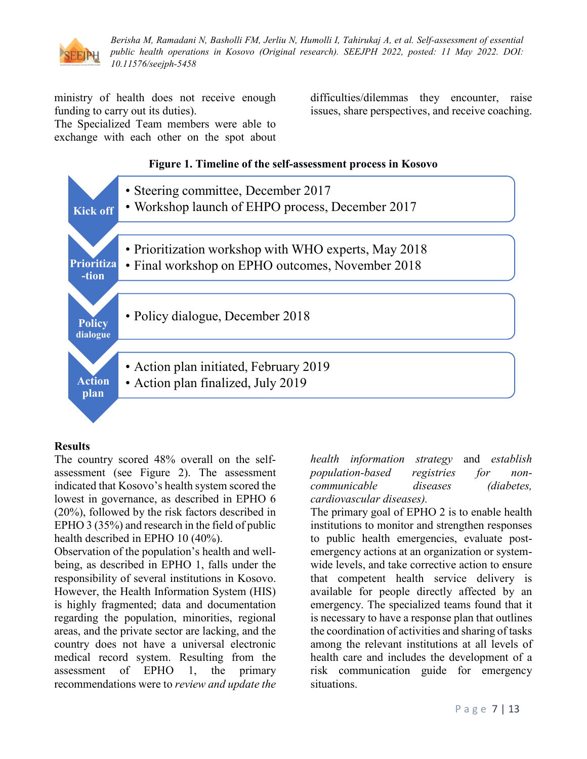

ministry of health does not receive enough funding to carry out its duties).

The Specialized Team members were able to exchange with each other on the spot about difficulties/dilemmas they encounter, raise issues, share perspectives, and receive coaching.

#### **Figure 1. Timeline of the self-assessment process in Kosovo**



### **Results**

The country scored 48% overall on the selfassessment (see Figure 2). The assessment indicated that Kosovo's health system scored the lowest in governance, as described in EPHO 6 (20%), followed by the risk factors described in EPHO 3 (35%) and research in the field of public health described in EPHO 10 (40%).

Observation of the population's health and wellbeing, as described in EPHO 1, falls under the responsibility of several institutions in Kosovo. However, the Health Information System (HIS) is highly fragmented; data and documentation regarding the population, minorities, regional areas, and the private sector are lacking, and the country does not have a universal electronic medical record system. Resulting from the assessment of EPHO 1, the primary recommendations were to *review and update the* 

*health information strategy* and *establish population-based registries for noncommunicable diseases (diabetes, cardiovascular diseases).* 

The primary goal of EPHO 2 is to enable health institutions to monitor and strengthen responses to public health emergencies, evaluate postemergency actions at an organization or systemwide levels, and take corrective action to ensure that competent health service delivery is available for people directly affected by an emergency. The specialized teams found that it is necessary to have a response plan that outlines the coordination of activities and sharing of tasks among the relevant institutions at all levels of health care and includes the development of a risk communication guide for emergency situations.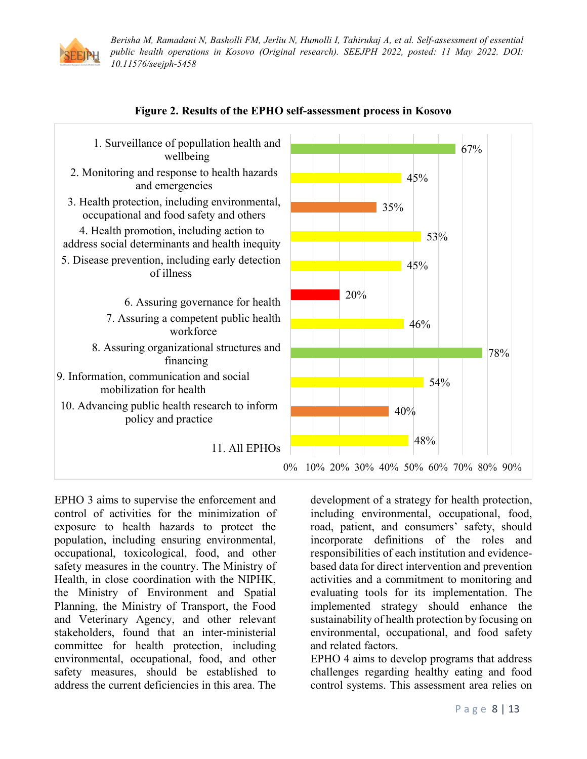





EPHO 3 aims to supervise the enforcement and control of activities for the minimization of exposure to health hazards to protect the population, including ensuring environmental, occupational, toxicological, food, and other safety measures in the country. The Ministry of Health, in close coordination with the NIPHK, the Ministry of Environment and Spatial Planning, the Ministry of Transport, the Food and Veterinary Agency, and other relevant stakeholders, found that an inter-ministerial committee for health protection, including environmental, occupational, food, and other safety measures, should be established to address the current deficiencies in this area. The

development of a strategy for health protection, including environmental, occupational, food, road, patient, and consumers' safety, should incorporate definitions of the roles and responsibilities of each institution and evidencebased data for direct intervention and prevention activities and a commitment to monitoring and evaluating tools for its implementation. The implemented strategy should enhance the sustainability of health protection by focusing on environmental, occupational, and food safety and related factors.

EPHO 4 aims to develop programs that address challenges regarding healthy eating and food control systems. This assessment area relies on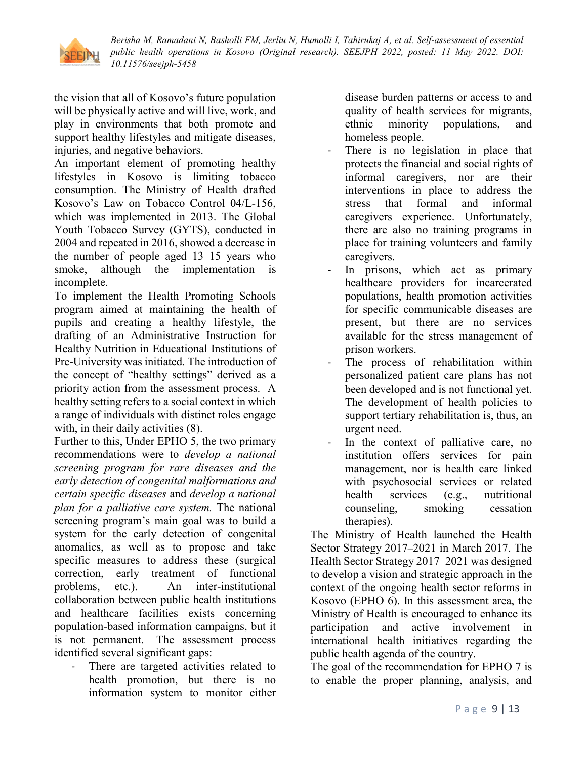

the vision that all of Kosovo's future population will be physically active and will live, work, and play in environments that both promote and support healthy lifestyles and mitigate diseases, injuries, and negative behaviors.

An important element of promoting healthy lifestyles in Kosovo is limiting tobacco consumption. The Ministry of Health drafted Kosovo's Law on Tobacco Control 04/L-156, which was implemented in 2013. The Global Youth Tobacco Survey (GYTS), conducted in 2004 and repeated in 2016, showed a decrease in the number of people aged 13–15 years who smoke, although the implementation is incomplete.

To implement the Health Promoting Schools program aimed at maintaining the health of pupils and creating a healthy lifestyle, the drafting of an Administrative Instruction for Healthy Nutrition in Educational Institutions of Pre-University was initiated. The introduction of the concept of "healthy settings" derived as a priority action from the assessment process. A healthy setting refers to a social context in which a range of individuals with distinct roles engage with, in their daily activities  $(8)$ .

Further to this, Under EPHO 5, the two primary recommendations were to *develop a national screening program for rare diseases and the early detection of congenital malformations and certain specific diseases* and *develop a national plan for a palliative care system.* The national screening program's main goal was to build a system for the early detection of congenital anomalies, as well as to propose and take specific measures to address these (surgical correction, early treatment of functional problems, etc.). An inter-institutional collaboration between public health institutions and healthcare facilities exists concerning population-based information campaigns, but it is not permanent. The assessment process identified several significant gaps:

There are targeted activities related to health promotion, but there is no information system to monitor either

disease burden patterns or access to and quality of health services for migrants, ethnic minority populations, and homeless people.

- There is no legislation in place that protects the financial and social rights of informal caregivers, nor are their interventions in place to address the stress that formal and informal caregivers experience. Unfortunately, there are also no training programs in place for training volunteers and family caregivers.
- In prisons, which act as primary healthcare providers for incarcerated populations, health promotion activities for specific communicable diseases are present, but there are no services available for the stress management of prison workers.
- The process of rehabilitation within personalized patient care plans has not been developed and is not functional yet. The development of health policies to support tertiary rehabilitation is, thus, an urgent need.
- In the context of palliative care, no institution offers services for pain management, nor is health care linked with psychosocial services or related health services (e.g., nutritional counseling, smoking cessation therapies).

The Ministry of Health launched the Health Sector Strategy 2017–2021 in March 2017. The Health Sector Strategy 2017–2021 was designed to develop a vision and strategic approach in the context of the ongoing health sector reforms in Kosovo (EPHO 6). In this assessment area, the Ministry of Health is encouraged to enhance its participation and active involvement in international health initiatives regarding the public health agenda of the country.

The goal of the recommendation for EPHO 7 is to enable the proper planning, analysis, and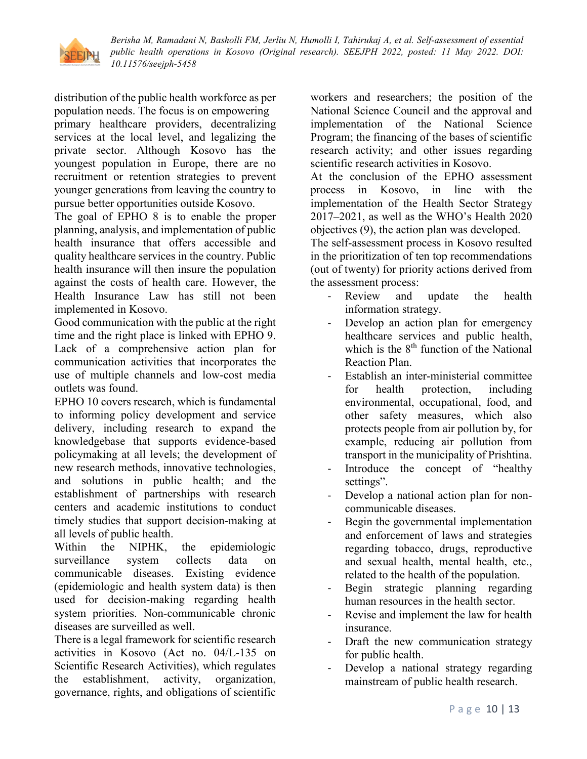

distribution of the public health workforce as per population needs. The focus is on empowering primary healthcare providers, decentralizing services at the local level, and legalizing the private sector. Although Kosovo has the youngest population in Europe, there are no recruitment or retention strategies to prevent younger generations from leaving the country to pursue better opportunities outside Kosovo.

The goal of EPHO 8 is to enable the proper planning, analysis, and implementation of public health insurance that offers accessible and quality healthcare services in the country. Public health insurance will then insure the population against the costs of health care. However, the Health Insurance Law has still not been implemented in Kosovo.

Good communication with the public at the right time and the right place is linked with EPHO 9. Lack of a comprehensive action plan for communication activities that incorporates the use of multiple channels and low-cost media outlets was found.

EPHO 10 covers research, which is fundamental to informing policy development and service delivery, including research to expand the knowledgebase that supports evidence-based policymaking at all levels; the development of new research methods, innovative technologies, and solutions in public health; and the establishment of partnerships with research centers and academic institutions to conduct timely studies that support decision-making at all levels of public health.

Within the NIPHK, the epidemiologic surveillance system collects data on communicable diseases. Existing evidence (epidemiologic and health system data) is then used for decision-making regarding health system priorities. Non-communicable chronic diseases are surveilled as well.

There is a legal framework for scientific research activities in Kosovo (Act no. 04/L-135 on Scientific Research Activities), which regulates the establishment, activity, organization, governance, rights, and obligations of scientific

workers and researchers; the position of the National Science Council and the approval and implementation of the National Science Program; the financing of the bases of scientific research activity; and other issues regarding scientific research activities in Kosovo.

At the conclusion of the EPHO assessment process in Kosovo, in line with the implementation of the Health Sector Strategy 2017–2021, as well as the WHO's Health 2020 objectives (9), the action plan was developed.

The self-assessment process in Kosovo resulted in the prioritization of ten top recommendations (out of twenty) for priority actions derived from the assessment process:

- Review and update the health information strategy.
- Develop an action plan for emergency healthcare services and public health, which is the  $8<sup>th</sup>$  function of the National Reaction Plan.
- Establish an inter-ministerial committee for health protection, including environmental, occupational, food, and other safety measures, which also protects people from air pollution by, for example, reducing air pollution from transport in the municipality of Prishtina.
- Introduce the concept of "healthy" settings".
- Develop a national action plan for noncommunicable diseases.
- Begin the governmental implementation and enforcement of laws and strategies regarding tobacco, drugs, reproductive and sexual health, mental health, etc., related to the health of the population.
- Begin strategic planning regarding human resources in the health sector.
- Revise and implement the law for health insurance.
- Draft the new communication strategy for public health.
- Develop a national strategy regarding mainstream of public health research.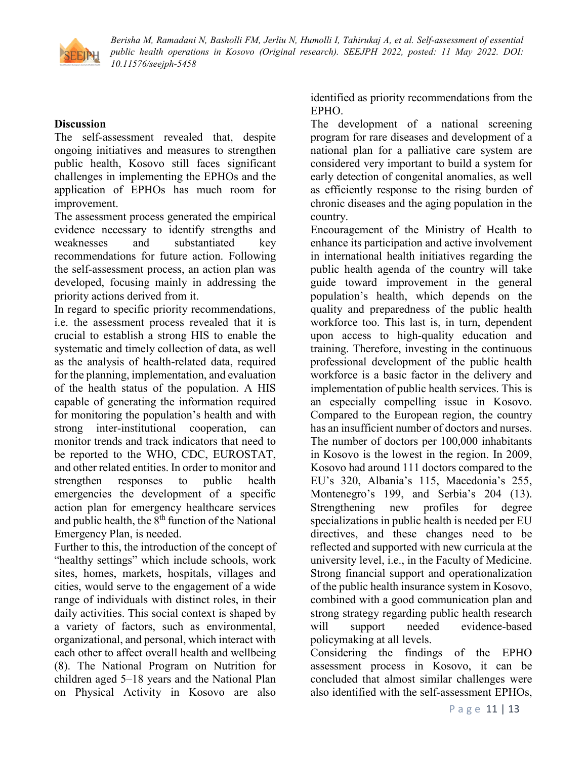

### **Discussion**

The self-assessment revealed that, despite ongoing initiatives and measures to strengthen public health, Kosovo still faces significant challenges in implementing the EPHOs and the application of EPHOs has much room for improvement.

The assessment process generated the empirical evidence necessary to identify strengths and weaknesses and substantiated key recommendations for future action. Following the self-assessment process, an action plan was developed, focusing mainly in addressing the priority actions derived from it.

In regard to specific priority recommendations, i.e. the assessment process revealed that it is crucial to establish a strong HIS to enable the systematic and timely collection of data, as well as the analysis of health-related data, required for the planning, implementation, and evaluation of the health status of the population. A HIS capable of generating the information required for monitoring the population's health and with strong inter-institutional cooperation, can monitor trends and track indicators that need to be reported to the WHO, CDC, EUROSTAT, and other related entities. In order to monitor and strengthen responses to public health emergencies the development of a specific action plan for emergency healthcare services and public health, the  $8<sup>th</sup>$  function of the National Emergency Plan, is needed.

Further to this, the introduction of the concept of "healthy settings" which include schools, work sites, homes, markets, hospitals, villages and cities, would serve to the engagement of a wide range of individuals with distinct roles, in their daily activities. This social context is shaped by a variety of factors, such as environmental, organizational, and personal, which interact with each other to affect overall health and wellbeing (8). The National Program on Nutrition for children aged 5–18 years and the National Plan on Physical Activity in Kosovo are also

identified as priority recommendations from the EPHO.

The development of a national screening program for rare diseases and development of a national plan for a palliative care system are considered very important to build a system for early detection of congenital anomalies, as well as efficiently response to the rising burden of chronic diseases and the aging population in the country.

Encouragement of the Ministry of Health to enhance its participation and active involvement in international health initiatives regarding the public health agenda of the country will take guide toward improvement in the general population's health, which depends on the quality and preparedness of the public health workforce too. This last is, in turn, dependent upon access to high-quality education and training. Therefore, investing in the continuous professional development of the public health workforce is a basic factor in the delivery and implementation of public health services. This is an especially compelling issue in Kosovo. Compared to the European region, the country has an insufficient number of doctors and nurses. The number of doctors per 100,000 inhabitants in Kosovo is the lowest in the region. In 2009, Kosovo had around 111 doctors compared to the EU's 320, Albania's 115, Macedonia's 255, Montenegro's 199, and Serbia's 204 (13). Strengthening new profiles for degree specializations in public health is needed per EU directives, and these changes need to be reflected and supported with new curricula at the university level, i.e., in the Faculty of Medicine. Strong financial support and operationalization of the public health insurance system in Kosovo, combined with a good communication plan and strong strategy regarding public health research will support needed evidence-based policymaking at all levels.

Considering the findings of the EPHO assessment process in Kosovo, it can be concluded that almost similar challenges were also identified with the self-assessment EPHOs,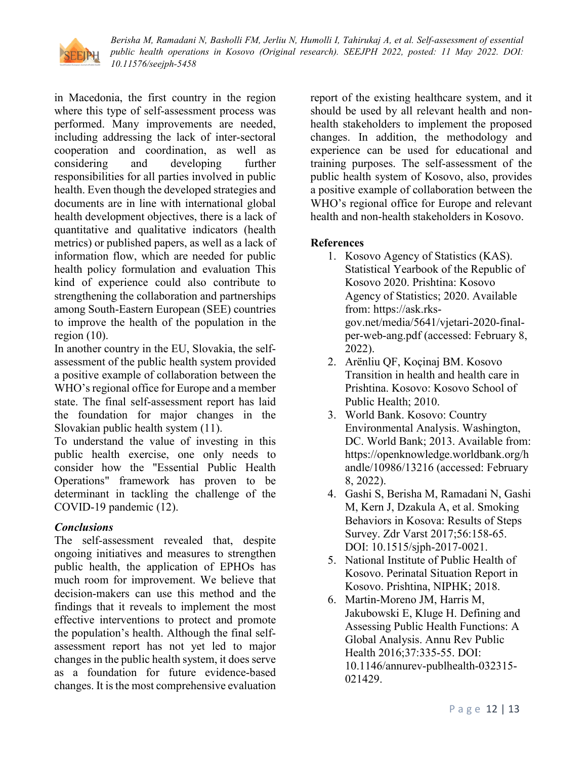

in Macedonia, the first country in the region where this type of self-assessment process was performed. Many improvements are needed, including addressing the lack of inter-sectoral cooperation and coordination, as well as considering and developing further responsibilities for all parties involved in public health. Even though the developed strategies and documents are in line with international global health development objectives, there is a lack of quantitative and qualitative indicators (health metrics) or published papers, as well as a lack of information flow, which are needed for public health policy formulation and evaluation This kind of experience could also contribute to strengthening the collaboration and partnerships among South-Eastern European (SEE) countries to improve the health of the population in the region  $(10)$ .

In another country in the EU, Slovakia, the selfassessment of the public health system provided a positive example of collaboration between the WHO's regional office for Europe and a member state. The final self-assessment report has laid the foundation for major changes in the Slovakian public health system (11).

To understand the value of investing in this public health exercise, one only needs to consider how the "Essential Public Health Operations" framework has proven to be determinant in tackling the challenge of the COVID-19 pandemic (12).

## *Conclusions*

The self-assessment revealed that, despite ongoing initiatives and measures to strengthen public health, the application of EPHOs has much room for improvement. We believe that decision-makers can use this method and the findings that it reveals to implement the most effective interventions to protect and promote the population's health. Although the final selfassessment report has not yet led to major changes in the public health system, it does serve as a foundation for future evidence-based changes. It is the most comprehensive evaluation report of the existing healthcare system, and it should be used by all relevant health and nonhealth stakeholders to implement the proposed changes. In addition, the methodology and experience can be used for educational and training purposes. The self-assessment of the public health system of Kosovo, also, provides a positive example of collaboration between the WHO's regional office for Europe and relevant health and non-health stakeholders in Kosovo.

## **References**

- 1. Kosovo Agency of Statistics (KAS). Statistical Yearbook of the Republic of Kosovo 2020. Prishtina: Kosovo Agency of Statistics; 2020. Available from: https://ask.rksgov.net/media/5641/vjetari-2020-finalper-web-ang.pdf (accessed: February 8, 2022).
- 2. Arënliu QF, Koçinaj BM. Kosovo Transition in health and health care in Prishtina. Kosovo: Kosovo School of Public Health; 2010.
- 3. World Bank. Kosovo: Country Environmental Analysis. Washington, DC. World Bank; 2013. Available from: https://openknowledge.worldbank.org/h andle/10986/13216 (accessed: February 8, 2022).
- 4. Gashi S, Berisha M, Ramadani N, Gashi M, Kern J, Dzakula A, et al. Smoking Behaviors in Kosova: Results of Steps Survey. Zdr Varst 2017;56:158-65. DOI: 10.1515/sjph-2017-0021.
- 5. National Institute of Public Health of Kosovo. Perinatal Situation Report in Kosovo. Prishtina, NIPHK; 2018.
- 6. Martin-Moreno JM, Harris M, Jakubowski E, Kluge H. Defining and Assessing Public Health Functions: A Global Analysis. Annu Rev Public Health 2016;37:335-55. DOI: 10.1146/annurev-publhealth-032315- 021429.